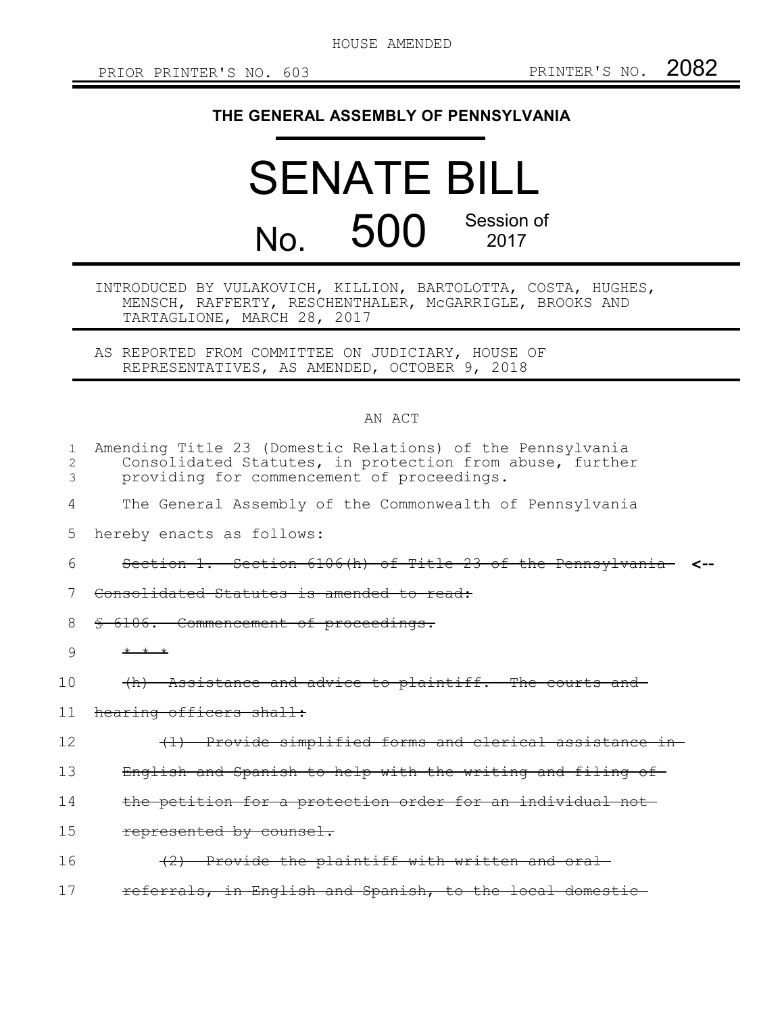HOUSE AMENDED

## **THE GENERAL ASSEMBLY OF PENNSYLVANIA**

## SENATE BILL No. 500 Session of 2017

INTRODUCED BY VULAKOVICH, KILLION, BARTOLOTTA, COSTA, HUGHES, MENSCH, RAFFERTY, RESCHENTHALER, McGARRIGLE, BROOKS AND TARTAGLIONE, MARCH 28, 2017

AS REPORTED FROM COMMITTEE ON JUDICIARY, HOUSE OF REPRESENTATIVES, AS AMENDED, OCTOBER 9, 2018

## AN ACT

| 1<br>2<br>3 | Amending Title 23 (Domestic Relations) of the Pennsylvania<br>Consolidated Statutes, in protection from abuse, further<br>providing for commencement of proceedings. |
|-------------|----------------------------------------------------------------------------------------------------------------------------------------------------------------------|
| 4           | The General Assembly of the Commonwealth of Pennsylvania                                                                                                             |
| 5           | hereby enacts as follows:                                                                                                                                            |
| 6           | Section 1. Section 6106(h) of Title 23 of the Pennsylvania                                                                                                           |
| 7           | Consolidated Statutes is amended to read:                                                                                                                            |
| 8           | <del>§ 6106. Commencement of proceedings.</del>                                                                                                                      |
| 9           | $*$ * *                                                                                                                                                              |
| 10          | (h) Assistance and advice to plaintiff. -- The courts and                                                                                                            |
| 11          | hearing officers shall:                                                                                                                                              |
| 12          | (1) Provide simplified forms and clerical assistance in                                                                                                              |
| 13          | English and Spanish to help with the writing and filing of                                                                                                           |
| 14          | the petition for a protection order for an individual not                                                                                                            |
| 15          | represented by counsel.                                                                                                                                              |
| 16          | (2) Provide the plaintiff with written and oral-                                                                                                                     |
| 17          | referrals, in English and Spanish, to the local domestic                                                                                                             |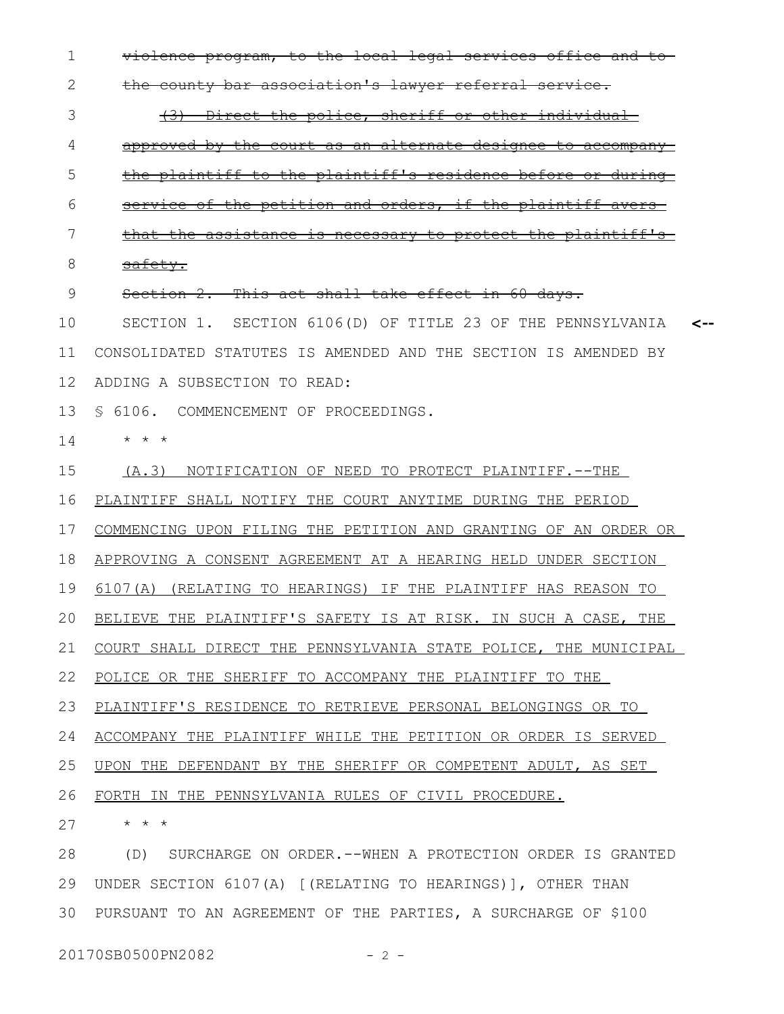violence program, to the local legal services office and to the county bar association's lawyer referral service. (3) Direct the police, sheriff or other individual approved by the court as an alternate designee to accompany the plaintiff to the plaintiff's residence before or during service of the petition and orders, if the plaintiff avers that the assistance is necessary to protect the plaintiff's safety. Section 2. This act shall take effect in 60 days. SECTION 1. SECTION 6106(D) OF TITLE 23 OF THE PENNSYLVANIA CONSOLIDATED STATUTES IS AMENDED AND THE SECTION IS AMENDED BY ADDING A SUBSECTION TO READ: 13 S 6106. COMMENCEMENT OF PROCEEDINGS. \* \* \* (A.3) NOTIFICATION OF NEED TO PROTECT PLAINTIFF.--THE PLAINTIFF SHALL NOTIFY THE COURT ANYTIME DURING THE PERIOD COMMENCING UPON FILING THE PETITION AND GRANTING OF AN ORDER OR APPROVING A CONSENT AGREEMENT AT A HEARING HELD UNDER SECTION 6107(A) (RELATING TO HEARINGS) IF THE PLAINTIFF HAS REASON TO BELIEVE THE PLAINTIFF'S SAFETY IS AT RISK. IN SUCH A CASE, THE COURT SHALL DIRECT THE PENNSYLVANIA STATE POLICE, THE MUNICIPAL POLICE OR THE SHERIFF TO ACCOMPANY THE PLAINTIFF TO THE PLAINTIFF'S RESIDENCE TO RETRIEVE PERSONAL BELONGINGS OR TO ACCOMPANY THE PLAINTIFF WHILE THE PETITION OR ORDER IS SERVED 1 2 3 4 5 6 7 8 9 10 11 12 14 15 16 17 18 19 20 21 22 23 24

**<--**

UPON THE DEFENDANT BY THE SHERIFF OR COMPETENT ADULT, AS SET 25

FORTH IN THE PENNSYLVANIA RULES OF CIVIL PROCEDURE. 26

\* \* \* 27

(D) SURCHARGE ON ORDER.--WHEN A PROTECTION ORDER IS GRANTED UNDER SECTION 6107(A) [(RELATING TO HEARINGS)], OTHER THAN 29 PURSUANT TO AN AGREEMENT OF THE PARTIES, A SURCHARGE OF \$100 28 30